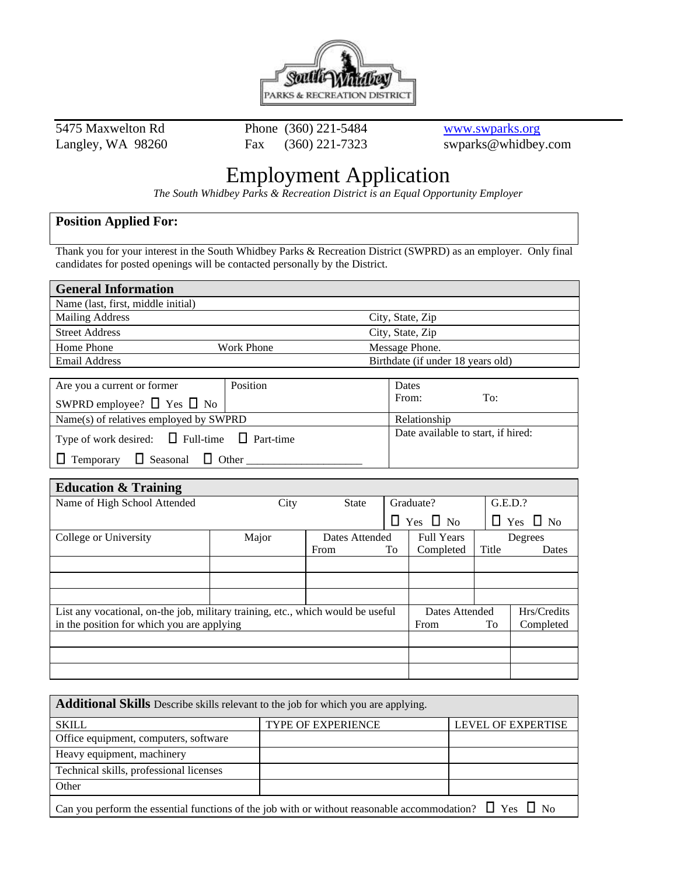

5475 Maxwelton Rd Phone (360) 221-5484 www.swparks.org

Langley, WA 98260 Fax (360) 221-7323 swparks@whidbey.com

## Employment Application

*The South Whidbey Parks & Recreation District is an Equal Opportunity Employer*

## **Position Applied For:**

Thank you for your interest in the South Whidbey Parks & Recreation District (SWPRD) as an employer. Only final candidates for posted openings will be contacted personally by the District.

| <b>General Information</b>                |                   |                                    |  |  |
|-------------------------------------------|-------------------|------------------------------------|--|--|
| Name (last, first, middle initial)        |                   |                                    |  |  |
| <b>Mailing Address</b>                    |                   | City, State, Zip                   |  |  |
| <b>Street Address</b>                     |                   | City, State, Zip                   |  |  |
| Home Phone                                | <b>Work Phone</b> | Message Phone.                     |  |  |
| <b>Email Address</b>                      |                   | Birthdate (if under 18 years old)  |  |  |
|                                           |                   |                                    |  |  |
| Are you a current or former               | Position          | <b>Dates</b>                       |  |  |
| SWPRD employee? $\Box$ Yes $\Box$ No      |                   | From:<br>To:                       |  |  |
| Name(s) of relatives employed by SWPRD    |                   | Relationship                       |  |  |
| $\Box$ Full-time<br>Type of work desired: | Part-time         | Date available to start, if hired: |  |  |

 $\Box$  Temporary  $\Box$  Seasonal  $\Box$  Other

| <b>Education &amp; Training</b>                                                 |       |                |                |                      |             |                      |
|---------------------------------------------------------------------------------|-------|----------------|----------------|----------------------|-------------|----------------------|
| Name of High School Attended                                                    | City  | <b>State</b>   |                | Graduate?            |             | G.E.D.?              |
|                                                                                 |       |                |                | $\Box$ Yes $\Box$ No |             | $\Box$ Yes $\Box$ No |
| College or University                                                           | Major | Dates Attended |                | <b>Full Years</b>    |             | Degrees              |
|                                                                                 |       | From           | To             | Completed            | Title       | Dates                |
|                                                                                 |       |                |                |                      |             |                      |
|                                                                                 |       |                |                |                      |             |                      |
|                                                                                 |       |                |                |                      |             |                      |
| List any vocational, on-the job, military training, etc., which would be useful |       |                | Dates Attended |                      | Hrs/Credits |                      |
| in the position for which you are applying                                      |       |                | From           | To                   | Completed   |                      |
|                                                                                 |       |                |                |                      |             |                      |
|                                                                                 |       |                |                |                      |             |                      |
|                                                                                 |       |                |                |                      |             |                      |

| Additional Skills Describe skills relevant to the job for which you are applying.                                 |                           |                           |  |
|-------------------------------------------------------------------------------------------------------------------|---------------------------|---------------------------|--|
| <b>SKILL</b>                                                                                                      | <b>TYPE OF EXPERIENCE</b> | <b>LEVEL OF EXPERTISE</b> |  |
| Office equipment, computers, software                                                                             |                           |                           |  |
| Heavy equipment, machinery                                                                                        |                           |                           |  |
| Technical skills, professional licenses                                                                           |                           |                           |  |
| Other                                                                                                             |                           |                           |  |
| Can you perform the essential functions of the job with or without reasonable accommodation? $\Box$ Yes $\Box$ No |                           |                           |  |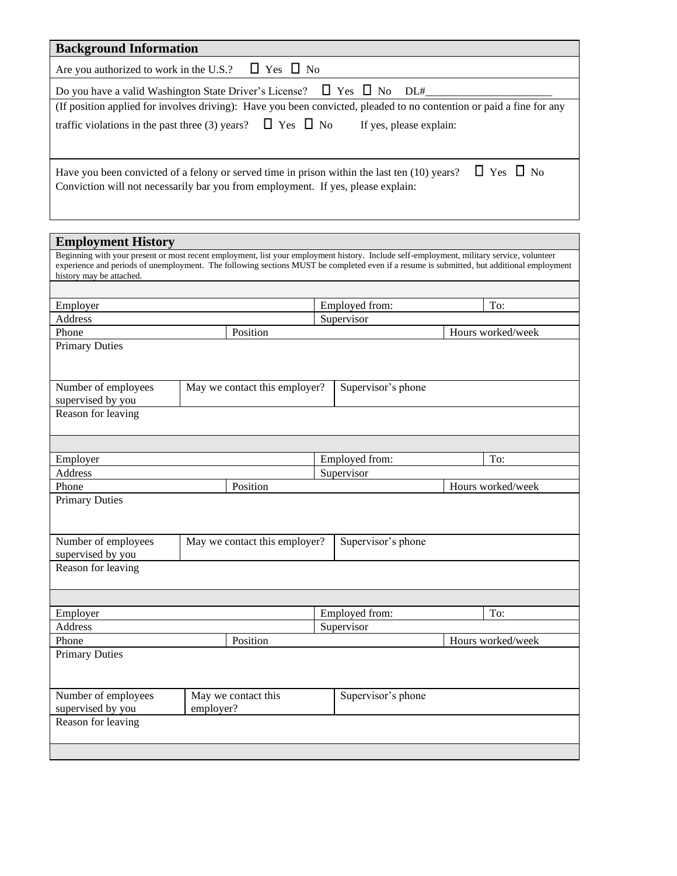| <b>Background Information</b>                                                                                                                                                                            |                                                                                                                                           |                    |                   |
|----------------------------------------------------------------------------------------------------------------------------------------------------------------------------------------------------------|-------------------------------------------------------------------------------------------------------------------------------------------|--------------------|-------------------|
| Are you authorized to work in the U.S.?                                                                                                                                                                  | $\Box$ Yes $\Box$ No                                                                                                                      |                    |                   |
|                                                                                                                                                                                                          | Do you have a valid Washington State Driver's License? $\Box$ Yes $\Box$ No                                                               | DL#                |                   |
|                                                                                                                                                                                                          | (If position applied for involves driving): Have you been convicted, pleaded to no contention or paid a fine for any                      |                    |                   |
| traffic violations in the past three (3) years? $\Box$ Yes $\Box$ No<br>If yes, please explain:                                                                                                          |                                                                                                                                           |                    |                   |
| $\Box$ Yes $\Box$ No<br>Have you been convicted of a felony or served time in prison within the last ten (10) years?<br>Conviction will not necessarily bar you from employment. If yes, please explain: |                                                                                                                                           |                    |                   |
| <b>Employment History</b>                                                                                                                                                                                |                                                                                                                                           |                    |                   |
|                                                                                                                                                                                                          | Beginning with your present or most recent employment, list your employment history. Include self-employment, military service, volunteer |                    |                   |
| history may be attached.                                                                                                                                                                                 | experience and periods of unemployment. The following sections MUST be completed even if a resume is submitted, but additional employment |                    |                   |
|                                                                                                                                                                                                          |                                                                                                                                           |                    |                   |
| Employer                                                                                                                                                                                                 |                                                                                                                                           | Employed from:     | To:               |
| Address                                                                                                                                                                                                  |                                                                                                                                           | Supervisor         |                   |
| Phone<br><b>Primary Duties</b>                                                                                                                                                                           | Position                                                                                                                                  |                    | Hours worked/week |
| Number of employees                                                                                                                                                                                      | May we contact this employer?                                                                                                             | Supervisor's phone |                   |
| supervised by you                                                                                                                                                                                        |                                                                                                                                           |                    |                   |
| Reason for leaving                                                                                                                                                                                       |                                                                                                                                           |                    |                   |
|                                                                                                                                                                                                          |                                                                                                                                           |                    |                   |
| Employer                                                                                                                                                                                                 |                                                                                                                                           | Employed from:     | To:               |
| Address                                                                                                                                                                                                  |                                                                                                                                           | Supervisor         |                   |
| Phone                                                                                                                                                                                                    | Position                                                                                                                                  |                    | Hours worked/week |
| <b>Primary Duties</b>                                                                                                                                                                                    |                                                                                                                                           |                    |                   |
| Number of employees<br>supervised by you                                                                                                                                                                 | May we contact this employer?                                                                                                             | Supervisor's phone |                   |
| Reason for leaving                                                                                                                                                                                       |                                                                                                                                           |                    |                   |
|                                                                                                                                                                                                          |                                                                                                                                           |                    |                   |
| Employer                                                                                                                                                                                                 |                                                                                                                                           | Employed from:     | To:               |
| Address                                                                                                                                                                                                  |                                                                                                                                           | Supervisor         |                   |
| Phone                                                                                                                                                                                                    | Position                                                                                                                                  |                    | Hours worked/week |
| <b>Primary Duties</b>                                                                                                                                                                                    |                                                                                                                                           |                    |                   |
| Number of employees                                                                                                                                                                                      | May we contact this                                                                                                                       | Supervisor's phone |                   |
| supervised by you                                                                                                                                                                                        | employer?                                                                                                                                 |                    |                   |
| Reason for leaving                                                                                                                                                                                       |                                                                                                                                           |                    |                   |
|                                                                                                                                                                                                          |                                                                                                                                           |                    |                   |